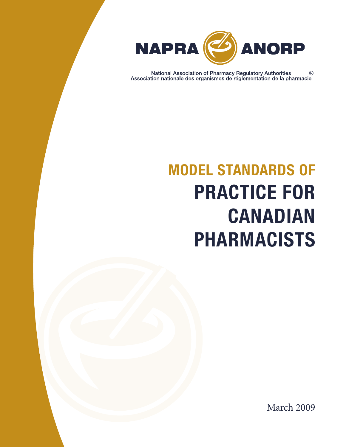

Mational Association of Pharmacy Regulatory Authorities <br>Association nationale des organismes de réglementation de la pharmacie

# MODEL STANDARDS OF PRACTICE FOR CANADIAN PHARMACISTS

March 2009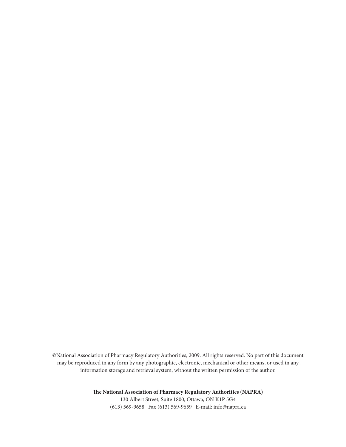©National Association of Pharmacy Regulatory Authorities, 2009. All rights reserved. No part of this document may be reproduced in any form by any photographic, electronic, mechanical or other means, or used in any information storage and retrieval system, without the written permission of the author.

> **The National Association of Pharmacy Regulatory Authorities (NAPRA)** 130 Albert Street, Suite 1800, Ottawa, ON K1P 5G4 (613) 569-9658 Fax (613) 569-9659 E-mail: info@napra.ca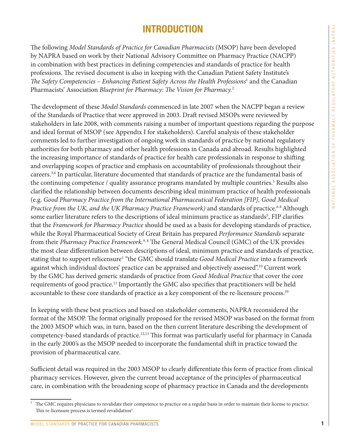### INTRODUCTION

The following *Model Standards of Practice for Canadian Pharmacists* (MSOP) have been developed by NAPRA based on work by their National Advisory Committee on Pharmacy Practice (NACPP) in combination with best practices in defining competencies and standards of practice for health professions. The revised document is also in keeping with the Canadian Patient Safety Institute's *The Safety Competencies – Enhancing Patient Safety Across the Health Professions*<sup>1</sup> and the Canadian Pharmacists' Association *Blueprint for Pharmacy: The Vision for Pharmacy.*<sup>2</sup>

The development of these *Model Standards* commenced in late 2007 when the NACPP began a review of the Standards of Practice that were approved in 2003. Draft revised MSOPs were reviewed by stakeholders in late 2008, with comments raising a number of important questions regarding the purpose and ideal format of MSOP (see Appendix I for stakeholders). Careful analysis of these stakeholder comments led to further investigation of ongoing work in standards of practice by national regulatory authorities for both pharmacy and other health professions in Canada and abroad. Results highlighted the increasing importance of standards of practice for health care professionals in response to shifting and overlapping scopes of practice and emphasis on accountability of professionals throughout their careers.3,4 In particular, literature documented that standards of practice are the fundamental basis of the continuing competence / quality assurance programs mandated by multiple countries.<sup>5</sup> Results also clarified the relationship between documents describing ideal minimum practice of health professionals (e.g. *Good Pharmacy Practice from the International Pharmaceutical Federation [FIP], Good Medical Practice from the UK, and the UK Pharmacy Practice Framework)* and standards of practice.<sup>6-8</sup> Although some earlier literature refers to the descriptions of ideal minimum practice as standards<sup>5</sup>, FIP clarifies that the *Framework for Pharmacy Practice* should be used as a basis for developing standards of practice, while the Royal Pharmaceutical Society of Great Britain has prepared *Performance Standards* separate from their *Pharmacy Practice Framework*.<sup>9,8</sup> The General Medical Council (GMC) of the UK provides the most clear differentiation between descriptions of ideal, minimum practice and standards of practice, stating that to support relicensure◊ "the GMC should translate *Good Medical Practice* into a framework against which individual doctors' practice can be appraised and objectively assessed".10 Current work by the GMC has derived generic standards of practice from *Good Medical Practice* that cover the core requirements of good practice.11 Importantly the GMC also specifies that practitioners will be held accountable to these core standards of practice as a key component of the re-licensure process.<sup>10</sup>

In keeping with these best practices and based on stakeholder comments, NAPRA reconsidered the format of the MSOP. The format originally proposed for the revised MSOP was based on the format from the 2003 MSOP which was, in turn, based on the then current literature describing the development of competency-based standards of practice.12,13 This format was particularly useful for pharmacy in Canada in the early 2000's as the MSOP needed to incorporate the fundamental shift in practice toward the provision of pharmaceutical care.

Sufficient detail was required in the 2003 MSOP to clearly differentiate this form of practice from clinical pharmacy services. However, given the current broad acceptance of the principles of pharmaceutical care, in combination with the broadening scope of pharmacy practice in Canada and the developments

 $\degree$  The GMC requires physicians to revalidate their competence to practice on a regular basis in order to maintain their license to practice. This re-licensure process is termed revalidation<sup>5</sup>.

MODEL STANDARDS OF PRACTICE FOR CANADIAN PHARMACISTS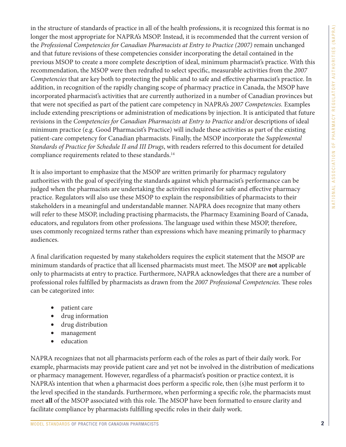in the structure of standards of practice in all of the health professions, it is recognized this format is no longer the most appropriate for NAPRA's MSOP. Instead, it is recommended that the current version of the *Professional Competencies for Canadian Pharmacists at Entry to Practice (2007)* remain unchanged and that future revisions of these competencies consider incorporating the detail contained in the previous MSOP to create a more complete description of ideal, minimum pharmacist's practice. With this recommendation, the MSOP were then redrafted to select specific, measurable activities from the *2007 Competencies* that are key both to protecting the public and to safe and effective pharmacist's practice. In addition, in recognition of the rapidly changing scope of pharmacy practice in Canada, the MSOP have incorporated pharmacist's activities that are currently authorized in a number of Canadian provinces but that were not specified as part of the patient care competency in NAPRA's *2007 Competencies.* Examples include extending prescriptions or administration of medications by injection. It is anticipated that future revisions in the *Competencies for Canadian Pharmacists at Entry to Practice* and/or descriptions of ideal minimum practice (e.g. Good Pharmacist's Practice) will include these activities as part of the existing patient-care competency for Canadian pharmacists. Finally, the MSOP incorporate the *Supplemental Standards of Practice for Schedule II and III Drugs*, with readers referred to this document for detailed compliance requirements related to these standards.14

It is also important to emphasize that the MSOP are written primarily for pharmacy regulatory authorities with the goal of specifying the standards against which pharmacist's performance can be judged when the pharmacists are undertaking the activities required for safe and effective pharmacy practice. Regulators will also use these MSOP to explain the responsibilities of pharmacists to their stakeholders in a meaningful and understandable manner. NAPRA does recognize that many others will refer to these MSOP, including practising pharmacists, the Pharmacy Examining Board of Canada, educators, and regulators from other professions. The language used within these MSOP, therefore, uses commonly recognized terms rather than expressions which have meaning primarily to pharmacy audiences.

A final clarification requested by many stakeholders requires the explicit statement that the MSOP are minimum standards of practice that all licensed pharmacists must meet. The MSOP are **not** applicable only to pharmacists at entry to practice. Furthermore, NAPRA acknowledges that there are a number of professional roles fulfilled by pharmacists as drawn from the *2007 Professional Competencies.* These roles can be categorized into:

- patient care
- drug information
- drug distribution
- management
- education

NAPRA recognizes that not all pharmacists perform each of the roles as part of their daily work. For example, pharmacists may provide patient care and yet not be involved in the distribution of medications or pharmacy management. However, regardless of a pharmacist's position or practice context, it is NAPRA's intention that when a pharmacist does perform a specific role, then (s)he must perform it to the level specified in the standards. Furthermore, when performing a specific role, the pharmacists must meet **all** of the MSOP associated with this role. The MSOP have been formatted to ensure clarity and facilitate compliance by pharmacists fulfilling specific roles in their daily work.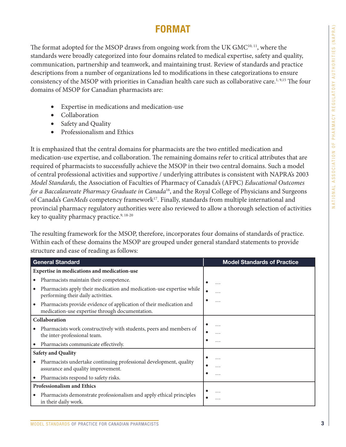## FORMAT

The format adopted for the MSOP draws from ongoing work from the UK GMC<sup>10, 11</sup>, where the standards were broadly categorized into four domains related to medical expertise, safety and quality, communication, partnership and teamwork, and maintaining trust. Review of standards and practice descriptions from a number of organizations led to modifications in these categorizations to ensure consistency of the MSOP with priorities in Canadian health care such as collaborative care.<sup>1, 9,15</sup> The four domains of MSOP for Canadian pharmacists are:

- Expertise in medications and medication-use
- **Collaboration**
- Safety and Quality
- Professionalism and Ethics

It is emphasized that the central domains for pharmacists are the two entitled medication and medication-use expertise, and collaboration. The remaining domains refer to critical attributes that are required of pharmacists to successfully achieve the MSOP in their two central domains. Such a model of central professional activities and supportive / underlying attributes is consistent with NAPRA's 2003 *Model Standards,* the Association of Faculties of Pharmacy of Canada's (AFPC) *Educational Outcomes for a Baccalaureate Pharmacy Graduate in Canada*16, and the Royal College of Physicians and Surgeons of Canada's *CanMeds* competency framework<sup>17</sup>. Finally, standards from multiple international and provincial pharmacy regulatory authorities were also reviewed to allow a thorough selection of activities key to quality pharmacy practice.<sup>9, 18-20</sup>

The resulting framework for the MSOP, therefore, incorporates four domains of standards of practice. Within each of these domains the MSOP are grouped under general standard statements to provide structure and ease of reading as follows:

| <b>General Standard</b>                                                                                                  | <b>Model Standards of Practice</b> |
|--------------------------------------------------------------------------------------------------------------------------|------------------------------------|
| Expertise in medications and medication-use                                                                              |                                    |
| Pharmacists maintain their competence.<br>$\bullet$                                                                      | $\bullet$<br>$\cdots$              |
| Pharmacists apply their medication and medication-use expertise while<br>$\bullet$<br>performing their daily activities. |                                    |
| Pharmacists provide evidence of application of their medication and<br>medication-use expertise through documentation.   |                                    |
| Collaboration                                                                                                            |                                    |
| Pharmacists work constructively with students, peers and members of<br>$\bullet$<br>the inter-professional team.         | .<br>.                             |
| Pharmacists communicate effectively.<br>$\bullet$                                                                        |                                    |
| <b>Safety and Quality</b>                                                                                                |                                    |
| Pharmacists undertake continuing professional development, quality<br>assurance and quality improvement.                 | .<br>.                             |
| Pharmacists respond to safety risks.<br>$\bullet$                                                                        |                                    |
| <b>Professionalism and Ethics</b>                                                                                        |                                    |
| Pharmacists demonstrate professionalism and apply ethical principles<br>in their daily work.                             | .                                  |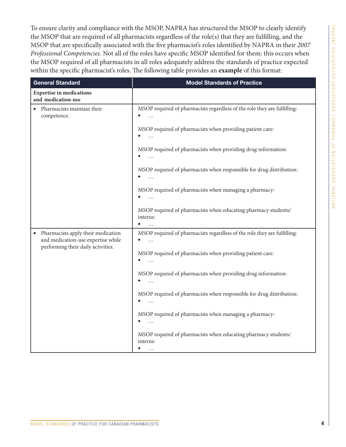To ensure clarity and compliance with the MSOP, NAPRA has structured the MSOP to clearly identify the MSOP that are required of all pharmacists regardless of the role(s) that they are fulfilling, and the MSOP that are specifically associated with the five pharmacist's roles identified by NAPRA in their *2007 Professional Competencies.* Not all of the roles have specific MSOP identified for them: this occurs when the MSOP required of all pharmacists in all roles adequately address the standards of practice expected within the specific pharmacist's roles. The following table provides an **example** of this format:

| <b>General Standard</b>                                                               | <b>Model Standards of Practice</b>                                                                  |
|---------------------------------------------------------------------------------------|-----------------------------------------------------------------------------------------------------|
| <b>Expertise in medications</b><br>and medication-use                                 |                                                                                                     |
| Pharmacists maintain their<br>competence.                                             | MSOP required of pharmacists regardless of the role they are fulfilling:<br>$\bullet$               |
|                                                                                       | MSOP required of pharmacists when providing patient care:                                           |
|                                                                                       | MSOP required of pharmacists when providing drug information:                                       |
|                                                                                       | MSOP required of pharmacists when responsible for drug distribution:<br>$\cdots$                    |
|                                                                                       | MSOP required of pharmacists when managing a pharmacy:                                              |
|                                                                                       | MSOP required of pharmacists when educating pharmacy students/<br>interns:                          |
| Pharmacists apply their medication<br>$\bullet$<br>and medication-use expertise while | MSOP required of pharmacists regardless of the role they are fulfilling:<br>$\bullet$<br>$\dddotsc$ |
| performing their daily activities.                                                    | MSOP required of pharmacists when providing patient care:<br>$\ddotsc$                              |
|                                                                                       | MSOP required of pharmacists when providing drug information:<br>$\bullet$<br>$\ddots$              |
|                                                                                       | MSOP required of pharmacists when responsible for drug distribution:<br>$\ldots$                    |
|                                                                                       | MSOP required of pharmacists when managing a pharmacy:                                              |
|                                                                                       | MSOP required of pharmacists when educating pharmacy students/<br>interns:<br>.                     |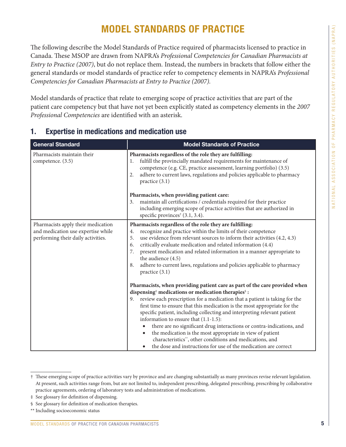# MODEL STANDARDS OF PRACTICE

The following describe the Model Standards of Practice required of pharmacists licensed to practice in Canada. These MSOP are drawn from NAPRA's *Professional Competencies for Canadian Pharmacists at Entry to Practice (2007)*, but do not replace them*.* Instead, the numbers in brackets that follow either the general standards or model standards of practice refer to competency elements in NAPRA's *Professional Competencies for Canadian Pharmacists at Entry to Practice (2007).*

Model standards of practice that relate to emerging scope of practice activities that are part of the patient care competency but that have not yet been explicitly stated as competency elements in the *2007 Professional Competencies* are identified with an asterisk.

| <b>General Standard</b>                                                                                        | <b>Model Standards of Practice</b>                                                                                                                                                                                                                                                                                                                                                                                                                                                                                                                                                                                                                                                                                                 |
|----------------------------------------------------------------------------------------------------------------|------------------------------------------------------------------------------------------------------------------------------------------------------------------------------------------------------------------------------------------------------------------------------------------------------------------------------------------------------------------------------------------------------------------------------------------------------------------------------------------------------------------------------------------------------------------------------------------------------------------------------------------------------------------------------------------------------------------------------------|
| Pharmacists maintain their<br>competence. (3.5)                                                                | Pharmacists regardless of the role they are fulfilling:<br>fulfill the provincially mandated requirements for maintenance of<br>1.<br>competence (e.g. CE, practice assessment, learning portfolio) (3.5)<br>adhere to current laws, regulations and policies applicable to pharmacy<br>2.<br>practice $(3.1)$                                                                                                                                                                                                                                                                                                                                                                                                                     |
|                                                                                                                | Pharmacists, when providing patient care:<br>maintain all certifications / credentials required for their practice<br>3.<br>including emerging scope of practice activities that are authorized in<br>specific provinces <sup>†</sup> (3.1, 3.4).                                                                                                                                                                                                                                                                                                                                                                                                                                                                                  |
| Pharmacists apply their medication<br>and medication use expertise while<br>performing their daily activities. | Pharmacists regardless of the role they are fulfilling:<br>recognize and practice within the limits of their competence<br>4.<br>5.<br>use evidence from relevant sources to inform their activities (4.2, 4.3)<br>critically evaluate medication and related information (4.4)<br>6.<br>present medication and related information in a manner appropriate to<br>7.<br>the audience (4.5)<br>adhere to current laws, regulations and policies applicable to pharmacy<br>8.<br>practice (3.1)                                                                                                                                                                                                                                      |
|                                                                                                                | Pharmacists, when providing patient care as part of the care provided when<br>dispensing <sup>#</sup> medications or medication therapies <sup>§</sup> :<br>review each prescription for a medication that a patient is taking for the<br>9.<br>first time to ensure that this medication is the most appropriate for the<br>specific patient, including collecting and interpreting relevant patient<br>information to ensure that $(1.1-1.5)$ :<br>there are no significant drug interactions or contra-indications, and<br>the medication is the most appropriate in view of patient<br>$\bullet$<br>characteristics", other conditions and medications, and<br>the dose and instructions for use of the medication are correct |

### 1. Expertise in medications and medication use

<sup>†</sup> These emerging scope of practice activities vary by province and are changing substantially as many provinces revise relevant legislation. At present, such activities range from, but are not limited to, independent prescribing, delegated prescribing, prescribing by collaborative practice agreements, ordering of laboratory tests and administration of medications.

<sup>‡</sup> See glossary for definition of dispensing.

<sup>§</sup> See glossary for definition of medication therapies.

<sup>\*\*</sup> Including socioeconomic status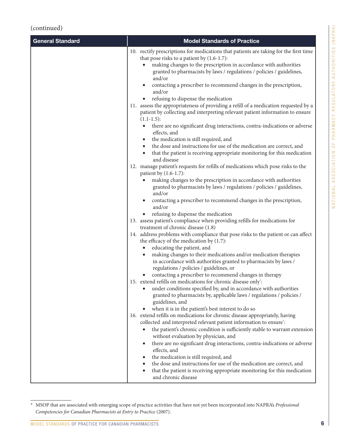| <b>General Standard</b> | <b>Model Standards of Practice</b>                                                                                                                                                                                                                                                             |
|-------------------------|------------------------------------------------------------------------------------------------------------------------------------------------------------------------------------------------------------------------------------------------------------------------------------------------|
|                         | 10. rectify prescriptions for medications that patients are taking for the first time<br>that pose risks to a patient by $(1.6-1.7)$ :<br>making changes to the prescription in accordance with authorities<br>granted to pharmacists by laws / regulations / policies / guidelines,<br>and/or |
|                         | contacting a prescriber to recommend changes in the prescription,<br>and/or                                                                                                                                                                                                                    |
|                         | refusing to dispense the medication<br>11. assess the appropriateness of providing a refill of a medication requested by a                                                                                                                                                                     |
|                         | patient by collecting and interpreting relevant patient information to ensure<br>$(1.1-1.5):$                                                                                                                                                                                                  |
|                         | there are no significant drug interactions, contra-indications or adverse<br>effects, and                                                                                                                                                                                                      |
|                         | the medication is still required, and<br>the dose and instructions for use of the medication are correct, and<br>$\bullet$                                                                                                                                                                     |
|                         | that the patient is receiving appropriate monitoring for this medication<br>and disease                                                                                                                                                                                                        |
|                         | 12. manage patient's requests for refills of medications which pose risks to the<br>patient by $(1.6-1.7)$ :                                                                                                                                                                                   |
|                         | making changes to the prescription in accordance with authorities<br>granted to pharmacists by laws / regulations / policies / guidelines,<br>and/or                                                                                                                                           |
|                         | contacting a prescriber to recommend changes in the prescription,<br>and/or                                                                                                                                                                                                                    |
|                         | refusing to dispense the medication<br>13. assess patient's compliance when providing refills for medications for                                                                                                                                                                              |
|                         | treatment of chronic disease (1.8)                                                                                                                                                                                                                                                             |
|                         | 14. address problems with compliance that pose risks to the patient or can affect<br>the efficacy of the medication by $(1.7)$ :                                                                                                                                                               |
|                         | educating the patient, and                                                                                                                                                                                                                                                                     |
|                         | making changes to their medications and/or medication therapies<br>in accordance with authorities granted to pharmacists by laws /<br>regulations / policies / guidelines, or                                                                                                                  |
|                         | contacting a prescriber to recommend changes in therapy                                                                                                                                                                                                                                        |
|                         | 15. extend refills on medications for chronic disease only:<br>under conditions specified by, and in accordance with authorities<br>granted to pharmacists by, applicable laws / regulations / policies /<br>guidelines, and                                                                   |
|                         | when it is in the patient's best interest to do so                                                                                                                                                                                                                                             |
|                         | 16. extend refills on medications for chronic disease appropriately, having                                                                                                                                                                                                                    |
|                         | collected and interpreted relevant patient information to ensure':                                                                                                                                                                                                                             |
|                         | the patient's chronic condition is sufficiently stable to warrant extension<br>without evaluation by physician, and                                                                                                                                                                            |
|                         | there are no significant drug interactions, contra-indications or adverse<br>$\bullet$<br>effects, and                                                                                                                                                                                         |
|                         | the medication is still required, and                                                                                                                                                                                                                                                          |
|                         | the dose and instructions for use of the medication are correct, and<br>that the patient is receiving appropriate monitoring for this medication<br>and chronic disease                                                                                                                        |

<sup>\*</sup> MSOP that are associated with emerging scope of practice activities that have not yet been incorporated into NAPRA's *Professional Competencies for Canadian Pharmacists at Entry to Practice* (2007).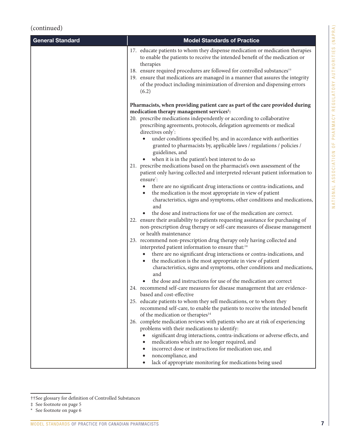| <b>General Standard</b> | <b>Model Standards of Practice</b>                                                                                                                                                                                                                                                                                                                                                                                                                           |
|-------------------------|--------------------------------------------------------------------------------------------------------------------------------------------------------------------------------------------------------------------------------------------------------------------------------------------------------------------------------------------------------------------------------------------------------------------------------------------------------------|
|                         | 17. educate patients to whom they dispense medication or medication therapies<br>to enable the patients to receive the intended benefit of the medication or<br>therapies<br>18. ensure required procedures are followed for controlled substances <sup>11</sup><br>19. ensure that medications are managed in a manner that assures the integrity<br>of the product including minimization of diversion and dispensing errors<br>(6.2)                      |
|                         | Pharmacists, when providing patient care as part of the care provided during<br>medication therapy management services <sup>#</sup> :                                                                                                                                                                                                                                                                                                                        |
|                         | 20. prescribe medications independently or according to collaborative<br>prescribing agreements, protocols, delegation agreements or medical<br>directives only <sup>*</sup> :<br>under conditions specified by, and in accordance with authorities<br>$\bullet$<br>granted to pharmacists by, applicable laws / regulations / policies /                                                                                                                    |
|                         | guidelines, and<br>when it is in the patient's best interest to do so                                                                                                                                                                                                                                                                                                                                                                                        |
|                         | 21. prescribe medications based on the pharmacist's own assessment of the<br>patient only having collected and interpreted relevant patient information to<br>ensure <sup>*</sup> :                                                                                                                                                                                                                                                                          |
|                         | there are no significant drug interactions or contra-indications, and<br>$\bullet$<br>the medication is the most appropriate in view of patient<br>$\bullet$<br>characteristics, signs and symptoms, other conditions and medications,<br>and                                                                                                                                                                                                                |
|                         | the dose and instructions for use of the medication are correct.<br>22. ensure their availability to patients requesting assistance for purchasing of<br>non-prescription drug therapy or self-care measures of disease management<br>or health maintenance                                                                                                                                                                                                  |
|                         | 23. recommend non-prescription drug therapy only having collected and<br>interpreted patient information to ensure that: <sup>14</sup>                                                                                                                                                                                                                                                                                                                       |
|                         | there are no significant drug interactions or contra-indications, and<br>$\bullet$<br>the medication is the most appropriate in view of patient<br>$\bullet$<br>characteristics, signs and symptoms, other conditions and medications,<br>and                                                                                                                                                                                                                |
|                         | the dose and instructions for use of the medication are correct<br>24. recommend self-care measures for disease management that are evidence-<br>based and cost-effective                                                                                                                                                                                                                                                                                    |
|                         | 25. educate patients to whom they sell medications, or to whom they<br>recommend self-care, to enable the patients to receive the intended benefit<br>of the medication or therapies <sup>14</sup>                                                                                                                                                                                                                                                           |
|                         | 26. complete medication reviews with patients who are at risk of experiencing<br>problems with their medications to identify:<br>significant drug interactions, contra-indications or adverse effects, and<br>medications which are no longer required, and<br>$\bullet$<br>incorrect dose or instructions for medication use, and<br>$\bullet$<br>noncompliance, and<br>$\bullet$<br>lack of appropriate monitoring for medications being used<br>$\bullet$ |

<sup>††</sup>See glossary for definition of Controlled Substances

<sup>‡</sup> See footnote on page 5

<sup>\*</sup> See footnote on page 6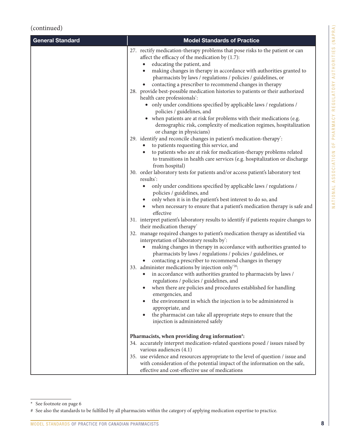| <b>General Standard</b> | <b>Model Standards of Practice</b>                                                                                                                                                                                                                                                                                                                                                                                                                                                                                                                                                                                                                                                                                                                                                             |
|-------------------------|------------------------------------------------------------------------------------------------------------------------------------------------------------------------------------------------------------------------------------------------------------------------------------------------------------------------------------------------------------------------------------------------------------------------------------------------------------------------------------------------------------------------------------------------------------------------------------------------------------------------------------------------------------------------------------------------------------------------------------------------------------------------------------------------|
|                         | 27. rectify medication-therapy problems that pose risks to the patient or can<br>affect the efficacy of the medication by (1.7):<br>educating the patient, and<br>$\bullet$<br>making changes in therapy in accordance with authorities granted to<br>$\bullet$<br>pharmacists by laws / regulations / policies / guidelines, or<br>contacting a prescriber to recommend changes in therapy<br>28. provide best-possible medication histories to patients or their authorized<br>health care professionals*:<br>• only under conditions specified by applicable laws / regulations /<br>policies / guidelines, and<br>• when patients are at risk for problems with their medications (e.g.<br>demographic risk, complexity of medication regimes, hospitalization<br>or change in physicians) |
|                         | 29. identify and reconcile changes in patient's medication-therapy*:<br>to patients requesting this service, and<br>to patients who are at risk for medication-therapy problems related<br>$\bullet$<br>to transitions in health care services (e.g. hospitalization or discharge<br>from hospital)                                                                                                                                                                                                                                                                                                                                                                                                                                                                                            |
|                         | 30. order laboratory tests for patients and/or access patient's laboratory test<br>results <sup>*</sup> :<br>only under conditions specified by applicable laws / regulations /<br>$\bullet$<br>policies / guidelines, and<br>only when it is in the patient's best interest to do so, and<br>when necessary to ensure that a patient's medication therapy is safe and<br>effective                                                                                                                                                                                                                                                                                                                                                                                                            |
|                         | 31. interpret patient's laboratory results to identify if patients require changes to<br>their medication therapy*<br>32. manage required changes to patient's medication therapy as identified via<br>interpretation of laboratory results by*:<br>making changes in therapy in accordance with authorities granted to<br>$\bullet$<br>pharmacists by laws / regulations / policies / guidelines, or<br>contacting a prescriber to recommend changes in therapy                                                                                                                                                                                                                                                                                                                               |
|                         | 33. administer medications by injection only <sup>*20</sup> :<br>in accordance with authorities granted to pharmacists by laws /<br>regulations / policies / guidelines, and<br>• when there are policies and procedures established for handling<br>emergencies, and<br>the environment in which the injection is to be administered is<br>appropriate, and<br>the pharmacist can take all appropriate steps to ensure that the<br>$\bullet$<br>injection is administered safely                                                                                                                                                                                                                                                                                                              |
|                         | Pharmacists, when providing drug information#:<br>34. accurately interpret medication-related questions posed / issues raised by<br>various audiences (4.1)<br>35. use evidence and resources appropriate to the level of question / issue and<br>with consideration of the potential impact of the information on the safe,<br>effective and cost-effective use of medications                                                                                                                                                                                                                                                                                                                                                                                                                |

<sup>\*</sup> See footnote on page 6

<sup>#</sup> See also the standards to be fulfilled by all pharmacists within the category of applying medication expertise to practice.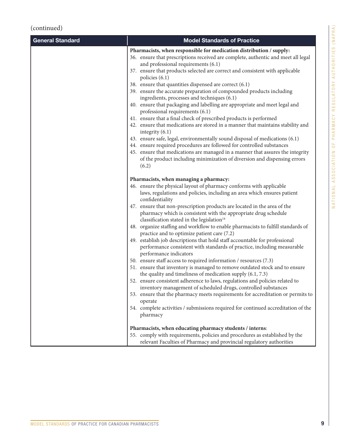| <b>General Standard</b> | <b>Model Standards of Practice</b>                                                                                                                                                                                                                                                                                                                                                                                                                                                                                                                                                                                                                                                                                                                                                                                                                                                                                                                                                                                                                                                                                                                                                                                                                                                                               |
|-------------------------|------------------------------------------------------------------------------------------------------------------------------------------------------------------------------------------------------------------------------------------------------------------------------------------------------------------------------------------------------------------------------------------------------------------------------------------------------------------------------------------------------------------------------------------------------------------------------------------------------------------------------------------------------------------------------------------------------------------------------------------------------------------------------------------------------------------------------------------------------------------------------------------------------------------------------------------------------------------------------------------------------------------------------------------------------------------------------------------------------------------------------------------------------------------------------------------------------------------------------------------------------------------------------------------------------------------|
|                         | Pharmacists, when responsible for medication distribution / supply:<br>36. ensure that prescriptions received are complete, authentic and meet all legal<br>and professional requirements (6.1)<br>37. ensure that products selected are correct and consistent with applicable<br>policies $(6.1)$<br>38. ensure that quantities dispensed are correct (6.1)<br>39. ensure the accurate preparation of compounded products including<br>ingredients, processes and techniques (6.1)<br>40. ensure that packaging and labelling are appropriate and meet legal and<br>professional requirements (6.1)<br>41. ensure that a final check of prescribed products is performed<br>42. ensure that medications are stored in a manner that maintains stability and<br>integrity $(6.1)$<br>43. ensure safe, legal, environmentally sound disposal of medications (6.1)<br>44. ensure required procedures are followed for controlled substances<br>45. ensure that medications are managed in a manner that assures the integrity<br>of the product including minimization of diversion and dispensing errors<br>(6.2)                                                                                                                                                                                                |
|                         | Pharmacists, when managing a pharmacy:<br>46. ensure the physical layout of pharmacy conforms with applicable<br>laws, regulations and policies, including an area which ensures patient<br>confidentiality<br>47. ensure that non-prescription products are located in the area of the<br>pharmacy which is consistent with the appropriate drug schedule<br>classification stated in the legislation <sup>14</sup><br>48. organize staffing and workflow to enable pharmacists to fulfill standards of<br>practice and to optimize patient care (7.2)<br>49. establish job descriptions that hold staff accountable for professional<br>performance consistent with standards of practice, including measurable<br>performance indicators<br>50. ensure staff access to required information / resources (7.3)<br>51. ensure that inventory is managed to remove outdated stock and to ensure<br>the quality and timeliness of medication supply $(6.1, 7.3)$<br>52. ensure consistent adherence to laws, regulations and policies related to<br>inventory management of scheduled drugs, controlled substances<br>53. ensure that the pharmacy meets requirements for accreditation or permits to<br>operate<br>54. complete activities / submissions required for continued accreditation of the<br>pharmacy |
|                         | Pharmacists, when educating pharmacy students / interns:<br>55. comply with requirements, policies and procedures as established by the<br>relevant Faculties of Pharmacy and provincial regulatory authorities                                                                                                                                                                                                                                                                                                                                                                                                                                                                                                                                                                                                                                                                                                                                                                                                                                                                                                                                                                                                                                                                                                  |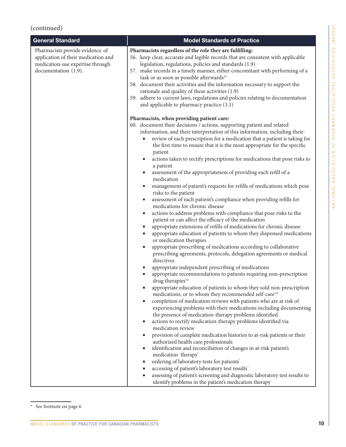| <b>General Standard</b>                                                                                                            | <b>Model Standards of Practice</b>                                                                                                                                                                                                                                                                                                                                                                                                                                                                                                                                                                                                                                                                                                                                                                                                                                                                                                                                                                                                                                                                                                                                                                                                                                                                                                                                                                                                                                                                                                                                                                                                                                                                                                                                                                                                                                                                                                                                                                                                                                                                                                                                                                                                                                                                                                                |
|------------------------------------------------------------------------------------------------------------------------------------|---------------------------------------------------------------------------------------------------------------------------------------------------------------------------------------------------------------------------------------------------------------------------------------------------------------------------------------------------------------------------------------------------------------------------------------------------------------------------------------------------------------------------------------------------------------------------------------------------------------------------------------------------------------------------------------------------------------------------------------------------------------------------------------------------------------------------------------------------------------------------------------------------------------------------------------------------------------------------------------------------------------------------------------------------------------------------------------------------------------------------------------------------------------------------------------------------------------------------------------------------------------------------------------------------------------------------------------------------------------------------------------------------------------------------------------------------------------------------------------------------------------------------------------------------------------------------------------------------------------------------------------------------------------------------------------------------------------------------------------------------------------------------------------------------------------------------------------------------------------------------------------------------------------------------------------------------------------------------------------------------------------------------------------------------------------------------------------------------------------------------------------------------------------------------------------------------------------------------------------------------------------------------------------------------------------------------------------------------|
| Pharmacists provide evidence of<br>application of their medication and<br>medication-use expertise through<br>documentation (1.9). | Pharmacists regardless of the role they are fulfilling:<br>56. keep clear, accurate and legible records that are consistent with applicable<br>legislation, regulations, policies and standards (1.9)<br>57. make records in a timely manner, either concomitant with performing of a<br>task or as soon as possible afterwards <sup>11</sup><br>58. document their activities and the information necessary to support the<br>rationale and quality of these activities (1.9)<br>59. adhere to current laws, regulations and policies relating to documentation<br>and applicable to pharmacy practice (3.1)                                                                                                                                                                                                                                                                                                                                                                                                                                                                                                                                                                                                                                                                                                                                                                                                                                                                                                                                                                                                                                                                                                                                                                                                                                                                                                                                                                                                                                                                                                                                                                                                                                                                                                                                     |
|                                                                                                                                    | Pharmacists, when providing patient care:<br>60. document their decisions / actions, supporting patient and related<br>information, and their interpretation of this information, including their:<br>review of each prescription for a medication that a patient is taking for<br>the first time to ensure that it is the most appropriate for the specific<br>patient<br>actions taken to rectify prescriptions for medications that pose risks to<br>a patient<br>assessment of the appropriateness of providing each refill of a<br>medication<br>management of patient's requests for refills of medications which pose<br>risks to the patient<br>assessment of each patient's compliance when providing refills for<br>$\bullet$<br>medications for chronic disease<br>actions to address problems with compliance that pose risks to the<br>$\bullet$<br>patient or can affect the efficacy of the medication<br>appropriate extensions of refills of medications for chronic disease<br>$\bullet$<br>appropriate education of patients to whom they dispensed medications<br>$\bullet$<br>or medication therapies<br>appropriate prescribing of medications according to collaborative<br>prescribing agreements, protocols, delegation agreements or medical<br>directives<br>appropriate independent prescribing of medications<br>appropriate recommendations to patients requiring non-prescription<br>drug therapies $14$<br>appropriate education of patients to whom they sold non-prescription<br>medications, or to whom they recommended self-care <sup>14</sup><br>completion of medication reviews with patients who are at risk of<br>experiencing problems with their medications including documenting<br>the presence of medication-therapy problems identified<br>actions to rectify medication-therapy problems identified via<br>medication review<br>provision of complete medication histories to at-risk patients or their<br>authorized health care professionals<br>identification and reconciliation of changes in at-risk patient's<br>medication therapy <sup>*</sup><br>ordering of laboratory tests for patients*<br>accessing of patient's laboratory test results'<br>assessing of patient's screening and diagnostic laboratory test results to<br>identify problems in the patient's medication therapy |

\* See footnote on page 6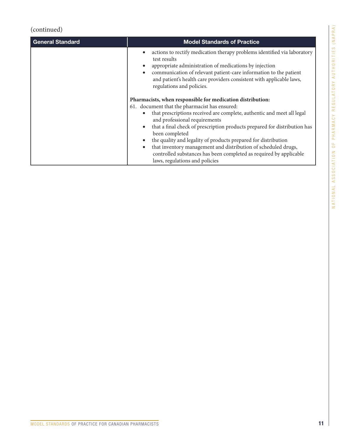| <b>General Standard</b> | <b>Model Standards of Practice</b>                                                                                                                                                                                                                                                                                                                                  |
|-------------------------|---------------------------------------------------------------------------------------------------------------------------------------------------------------------------------------------------------------------------------------------------------------------------------------------------------------------------------------------------------------------|
|                         | actions to rectify medication therapy problems identified via laboratory<br>$\bullet$<br>test results<br>appropriate administration of medications by injection<br>$\bullet$<br>communication of relevant patient-care information to the patient<br>$\bullet$<br>and patient's health care providers consistent with applicable laws,<br>regulations and policies. |
|                         | Pharmacists, when responsible for medication distribution:                                                                                                                                                                                                                                                                                                          |
|                         | 61. document that the pharmacist has ensured:                                                                                                                                                                                                                                                                                                                       |
|                         | that prescriptions received are complete, authentic and meet all legal<br>$\bullet$<br>and professional requirements                                                                                                                                                                                                                                                |
|                         | that a final check of prescription products prepared for distribution has<br>$\bullet$<br>been completed                                                                                                                                                                                                                                                            |
|                         | the quality and legality of products prepared for distribution<br>$\bullet$                                                                                                                                                                                                                                                                                         |
|                         | that inventory management and distribution of scheduled drugs,<br>$\bullet$                                                                                                                                                                                                                                                                                         |
|                         | controlled substances has been completed as required by applicable                                                                                                                                                                                                                                                                                                  |
|                         | laws, regulations and policies                                                                                                                                                                                                                                                                                                                                      |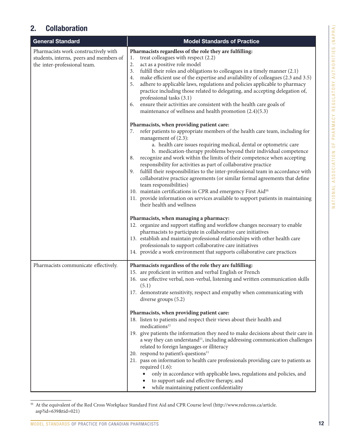| General Standard                                                                                                | <b>Model Standards of Practice</b>                                                                                                                                                                                                                                                                                                                                                                                                                                                                                                                                                                                                                                                                                                                                                                                                                                                                  |
|-----------------------------------------------------------------------------------------------------------------|-----------------------------------------------------------------------------------------------------------------------------------------------------------------------------------------------------------------------------------------------------------------------------------------------------------------------------------------------------------------------------------------------------------------------------------------------------------------------------------------------------------------------------------------------------------------------------------------------------------------------------------------------------------------------------------------------------------------------------------------------------------------------------------------------------------------------------------------------------------------------------------------------------|
| Pharmacists work constructively with<br>students, interns, peers and members of<br>the inter-professional team. | Pharmacists regardless of the role they are fulfilling:<br>treat colleagues with respect (2.2)<br>1.<br>2.<br>act as a positive role model<br>3.<br>fulfill their roles and obligations to colleagues in a timely manner (2.1)<br>make efficient use of the expertise and availability of colleagues (2.3 and 3.5)<br>4.<br>adhere to applicable laws, regulations and policies applicable to pharmacy<br>5.<br>practice including those related to delegating, and accepting delegation of,<br>professional tasks (3.1)<br>ensure their activities are consistent with the health care goals of<br>6.<br>maintenance of wellness and health promotion (2.4)(5.3)                                                                                                                                                                                                                                   |
|                                                                                                                 | Pharmacists, when providing patient care:<br>refer patients to appropriate members of the health care team, including for<br>7.<br>management of $(2.3)$ :<br>a. health care issues requiring medical, dental or optometric care<br>b. medication-therapy problems beyond their individual competence<br>recognize and work within the limits of their competence when accepting<br>8.<br>responsibility for activities as part of collaborative practice<br>fulfill their responsibilities to the inter-professional team in accordance with<br>9.<br>collaborative practice agreements (or similar formal agreements that define<br>team responsibilities)<br>10. maintain certifications in CPR and emergency First Aid <sup>§§</sup><br>11. provide information on services available to support patients in maintaining<br>their health and wellness<br>Pharmacists, when managing a pharmacy: |
|                                                                                                                 | 12. organize and support staffing and workflow changes necessary to enable<br>pharmacists to participate in collaborative care initiatives<br>13. establish and maintain professional relationships with other health care<br>professionals to support collaborative care initiatives<br>14. provide a work environment that supports collaborative care practices                                                                                                                                                                                                                                                                                                                                                                                                                                                                                                                                  |
| Pharmacists communicate effectively.                                                                            | Pharmacists regardless of the role they are fulfilling:<br>15. are proficient in written and verbal English or French<br>16. use effective verbal, non-verbal, listening and written communication skills<br>(5.1)<br>17. demonstrate sensitivity, respect and empathy when communicating with<br>diverse groups (5.2)                                                                                                                                                                                                                                                                                                                                                                                                                                                                                                                                                                              |
|                                                                                                                 | Pharmacists, when providing patient care:<br>18. listen to patients and respect their views about their health and<br>$medications\rm^{11}$<br>19. give patients the information they need to make decisions about their care in<br>a way they can understand <sup>11</sup> , including addressing communication challenges<br>related to foreign languages or illiteracy<br>20. respond to patient's questions <sup>11</sup><br>21. pass on information to health care professionals providing care to patients as<br>required $(1.6)$ :<br>only in accordance with applicable laws, regulations and policies, and<br>to support safe and effective therapy, and<br>while maintaining patient confidentiality                                                                                                                                                                                      |

§§ At the equivalent of the Red Cross Workplace Standard First Aid and CPR Course level [\(http://www.redcross.ca/article.](http://www.redcross.ca/article.asp?id=639&tid=021)) [asp?id=639&tid=021\)](http://www.redcross.ca/article.asp?id=639&tid=021))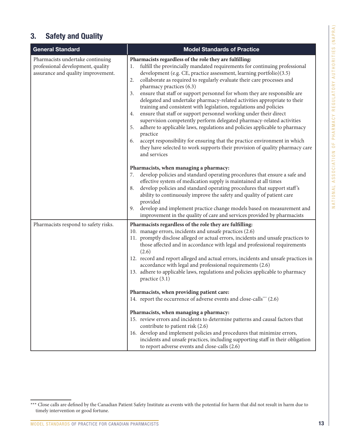### 3. Safety and Quality

| <b>General Standard</b>                                                                                     | <b>Model Standards of Practice</b>                                                                                                                                                                                                                                                                                                                                                                                                                                                                                                                                                                                                                                                                                                                                                                                                                                                                                                                                                                                                                        |
|-------------------------------------------------------------------------------------------------------------|-----------------------------------------------------------------------------------------------------------------------------------------------------------------------------------------------------------------------------------------------------------------------------------------------------------------------------------------------------------------------------------------------------------------------------------------------------------------------------------------------------------------------------------------------------------------------------------------------------------------------------------------------------------------------------------------------------------------------------------------------------------------------------------------------------------------------------------------------------------------------------------------------------------------------------------------------------------------------------------------------------------------------------------------------------------|
| Pharmacists undertake continuing<br>professional development, quality<br>assurance and quality improvement. | Pharmacists regardless of the role they are fulfilling:<br>fulfill the provincially mandated requirements for continuing professional<br>1.<br>development (e.g. CE, practice assessment, learning portfolio)(3.5)<br>collaborate as required to regularly evaluate their care processes and<br>2.<br>pharmacy practices (6.3)<br>ensure that staff or support personnel for whom they are responsible are<br>3.<br>delegated and undertake pharmacy-related activities appropriate to their<br>training and consistent with legislation, regulations and policies<br>ensure that staff or support personnel working under their direct<br>4.<br>supervision competently perform delegated pharmacy-related activities<br>adhere to applicable laws, regulations and policies applicable to pharmacy<br>5.<br>practice<br>accept responsibility for ensuring that the practice environment in which<br>6.<br>they have selected to work supports their provision of quality pharmacy care<br>and services                                                 |
|                                                                                                             | Pharmacists, when managing a pharmacy:<br>develop policies and standard operating procedures that ensure a safe and<br>7.<br>effective system of medication supply is maintained at all times<br>develop policies and standard operating procedures that support staff's<br>8.<br>ability to continuously improve the safety and quality of patient care<br>provided<br>develop and implement practice change models based on measurement and<br>9.<br>improvement in the quality of care and services provided by pharmacists                                                                                                                                                                                                                                                                                                                                                                                                                                                                                                                            |
| Pharmacists respond to safety risks.                                                                        | Pharmacists regardless of the role they are fulfilling:<br>10. manage errors, incidents and unsafe practices (2.6)<br>11. promptly disclose alleged or actual errors, incidents and unsafe practices to<br>those affected and in accordance with legal and professional requirements<br>(2.6)<br>12. record and report alleged and actual errors, incidents and unsafe practices in<br>accordance with legal and professional requirements (2.6)<br>13. adhere to applicable laws, regulations and policies applicable to pharmacy<br>practice $(3.1)$<br>Pharmacists, when providing patient care:<br>14. report the occurrence of adverse events and close-calls*** (2.6)<br>Pharmacists, when managing a pharmacy:<br>15. review errors and incidents to determine patterns and causal factors that<br>contribute to patient risk (2.6)<br>16. develop and implement policies and procedures that minimize errors,<br>incidents and unsafe practices, including supporting staff in their obligation<br>to report adverse events and close-calls (2.6) |

MODEL STANDARDS OF PRACTICE FOR CANADIAN PHARMACISTS

<sup>\*\*\*</sup> Close calls are defined by the Canadian Patient Safety Institute as events with the potential for harm that did not result in harm due to timely intervention or good fortune.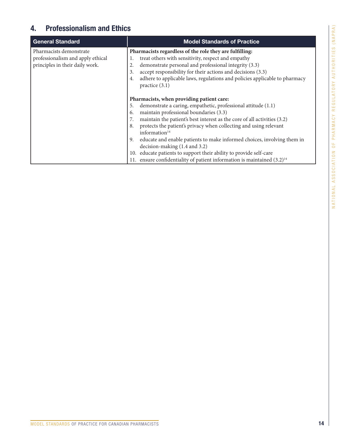### 4. Professionalism and Ethics

| <b>General Standard</b>                                                                         | <b>Model Standards of Practice</b>                                                                                                                                                                                                                                                                                                                                                                                                                                                                                                                                                                                     |
|-------------------------------------------------------------------------------------------------|------------------------------------------------------------------------------------------------------------------------------------------------------------------------------------------------------------------------------------------------------------------------------------------------------------------------------------------------------------------------------------------------------------------------------------------------------------------------------------------------------------------------------------------------------------------------------------------------------------------------|
| Pharmacists demonstrate<br>professionalism and apply ethical<br>principles in their daily work. | Pharmacists regardless of the role they are fulfilling:<br>treat others with sensitivity, respect and empathy<br>1.<br>demonstrate personal and professional integrity (3.3)<br>2.<br>accept responsibility for their actions and decisions (3.3)<br>3.<br>adhere to applicable laws, regulations and policies applicable to pharmacy<br>4.<br>practice $(3.1)$                                                                                                                                                                                                                                                        |
|                                                                                                 | Pharmacists, when providing patient care:<br>demonstrate a caring, empathetic, professional attitude (1.1)<br>5.<br>maintain professional boundaries (3.3)<br>6.<br>maintain the patient's best interest as the core of all activities (3.2)<br>protects the patient's privacy when collecting and using relevant<br>8.<br>information $14$<br>educate and enable patients to make informed choices, involving them in<br>9.<br>decision-making (1.4 and 3.2)<br>10. educate patients to support their ability to provide self-care<br>ensure confidentiality of patient information is maintained $(3.2)^{14}$<br>11. |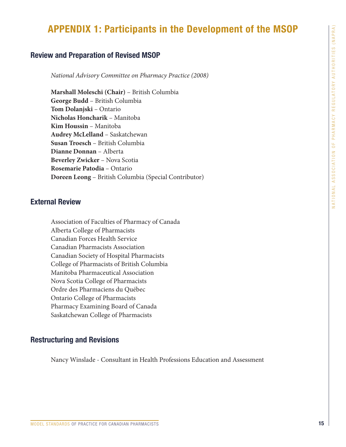### APPENDIX 1: Participants in the Development of the MSOP

#### Review and Preparation of Revised MSOP

*National Advisory Committee on Pharmacy Practice (2008)*

**Marshall Moleschi (Chair)** – British Columbia **George Budd** – British Columbia **Tom Dolanjski** – Ontario **Nicholas Honcharik** – Manitoba **Kim Houssin** – Manitoba **Audrey McLelland** – Saskatchewan **Susan Troesch** – British Columbia **Dianne Donnan** – Alberta **Beverley Zwicker** – Nova Scotia **Rosemarie Patodia** – Ontario **Doreen Leong** – British Columbia (Special Contributor)

#### External Review

Association of Faculties of Pharmacy of Canada Alberta College of Pharmacists Canadian Forces Health Service Canadian Pharmacists Association Canadian Society of Hospital Pharmacists College of Pharmacists of British Columbia Manitoba Pharmaceutical Association Nova Scotia College of Pharmacists Ordre des Pharmaciens du Québec Ontario College of Pharmacists Pharmacy Examining Board of Canada Saskatchewan College of Pharmacists

#### Restructuring and Revisions

Nancy Winslade - Consultant in Health Professions Education and Assessment

MODEL STANDARDS OF PRACTICE FOR CANADIAN PHARMACISTS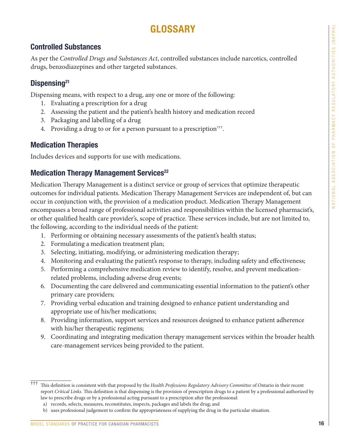# GLOSSARY

### Controlled Substances

As per the *Controlled Drugs and Substances Act*, controlled substances include narcotics, controlled drugs, benzodiazepines and other targeted substances.

### Dispensing<sup>21</sup>

Dispensing means, with respect to a drug, any one or more of the following:

- 1. Evaluating a prescription for a drug
- 2. Assessing the patient and the patient's health history and medication record
- 3. Packaging and labelling of a drug
- 4. Providing a drug to or for a person pursuant to a prescription†††.

### Medication Therapies

Includes devices and supports for use with medications.

### Medication Therapy Management Services<sup>22</sup>

Medication Therapy Management is a distinct service or group of services that optimize therapeutic outcomes for individual patients. Medication Therapy Management Services are independent of, but can occur in conjunction with, the provision of a medication product. Medication Therapy Management encompasses a broad range of professional activities and responsibilities within the licensed pharmacist's, or other qualified health care provider's, scope of practice. These services include, but are not limited to, the following, according to the individual needs of the patient:

- 1. Performing or obtaining necessary assessments of the patient's health status;
- 2. Formulating a medication treatment plan;
- 3. Selecting, initiating, modifying, or administering medication therapy;
- 4. Monitoring and evaluating the patient's response to therapy, including safety and effectiveness;
- 5. Performing a comprehensive medication review to identify, resolve, and prevent medicationrelated problems, including adverse drug events;
- 6. Documenting the care delivered and communicating essential information to the patient's other primary care providers;
- 7. Providing verbal education and training designed to enhance patient understanding and appropriate use of his/her medications;
- 8. Providing information, support services and resources designed to enhance patient adherence with his/her therapeutic regimens;
- 9. Coordinating and integrating medication therapy management services within the broader health care-management services being provided to the patient.

<sup>†††</sup> This definition is consistent with that proposed by the *Health Professions Regulatory Advisory Committee* of Ontario in their recent report *Critical Links.* This definition is that dispensing is the provision of prescription drugs to a patient by a professional authorized by law to prescribe drugs or by a professional acting pursuant to a prescription after the professional:

a) records, selects, measures, reconstitutes, inspects, packages and labels the drug; and

b) uses professional judgement to confirm the appropriateness of supplying the drug in the particular situation.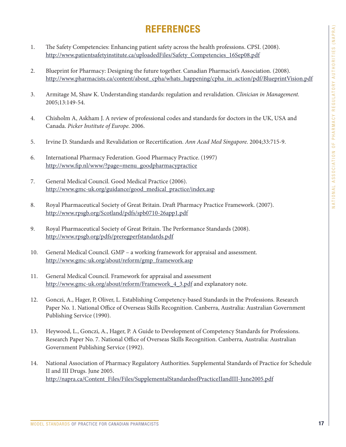# **REFERENCES**

- 1. The Safety Competencies: Enhancing patient safety across the health professions. CPSI. (2008). [http://www.patientsafetyinstitute.ca/uploadedFiles/Safety\\_Competencies\\_16Sep08.pdf](http://www.patientsafetyinstitute.ca/uploadedFiles/Safety_Competencies_16Sep08.pdf)
- 2. Blueprint for Pharmacy: Designing the future together. Canadian Pharmacist's Association. (2008). [http://www.pharmacists.ca/content/about\\_cpha/whats\\_happening/cpha\\_in\\_action/pdf/BlueprintVision.pdf](http://www.pharmacists.ca/content/about_cpha/whats_happening/cpha_in_action/pdf/BlueprintVision.pdf)
- 3. Armitage M, Shaw K. Understanding standards: regulation and revalidation. *Clinician in Management.*  2005;13:149-54.
- 4. Chisholm A, Askham J. A review of professional codes and standards for doctors in the UK, USA and Canada. *Picker Institute of Europe.* 2006.
- 5. Irvine D. Standards and Revalidation or Recertification. *Ann Acad Med Singapore*. 2004;33:715-9.
- 6. International Pharmacy Federation. Good Pharmacy Practice. (1997) [http://www.fip.nl/www/?page=menu\\_goodpharmacypractice](http://www.fip.nl/www/?page=menu_goodpharmacypractice)
- 7. General Medical Council. Good Medical Practice (2006). [http://www.gmc-uk.org/guidance/good\\_medical\\_practice/index.asp](http://www.gmc-uk.org/guidance/good_medical_practice/index.asp)
- 8. Royal Pharmaceutical Society of Great Britain. Draft Pharmacy Practice Framework. (2007). <http://www.rpsgb.org/Scotland/pdfs/spb0710-26app1.pdf>
- 9. Royal Pharmaceutical Society of Great Britain. The Performance Standards (2008). <http://www.rpsgb.org/pdfs/preregperfstandards.pdf>
- 10. General Medical Council. GMP a working framework for appraisal and assessment. [http://www.gmc-uk.org/about/reform/gmp\\_framework.asp](http://www.gmc-uk.org/about/reform/gmp_framework.asp)
- 11. General Medical Council. Framework for appraisal and assessment [http://www.gmc-uk.org/about/reform/Framework\\_4\\_3.pdf](http://www.gmc-uk.org/about/reform/Framework_4_3.pdf) and explanatory note.
- 12. Gonczi, A., Hager, P, Oliver, L. Establishing Competency-based Standards in the Professions. Research Paper No. 1. National Office of Overseas Skills Recognition. Canberra, Australia: Australian Government Publishing Service (1990).
- 13. Heywood, L., Gonczi, A., Hager, P. A Guide to Development of Competency Standards for Professions. Research Paper No. 7. National Office of Overseas Skills Recognition. Canberra, Australia: Australian Government Publishing Service (1992).
- 14. National Association of Pharmacy Regulatory Authorities. Supplemental Standards of Practice for Schedule II and III Drugs. June 2005. http://napra.ca/Content\_Files/Files/SupplementalStandardsofPracticeIIandIII-June2005.pdf